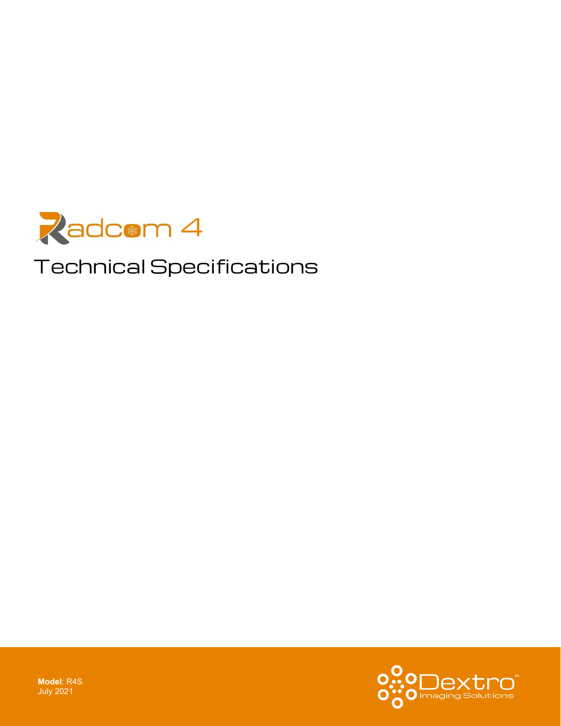

# Technical Specifications

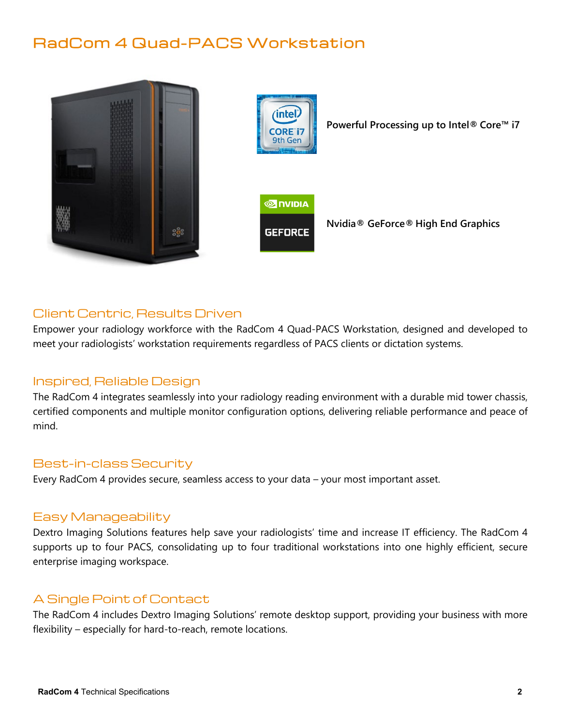## RadCom 4 Quad-PACS Workstation





**Powerful Processing up to Intel® Core™ i7**



**Nvidia® GeForce® High End Graphics**

### Client Centric, Results Driven

Empower your radiology workforce with the RadCom 4 Quad-PACS Workstation, designed and developed to meet your radiologists' workstation requirements regardless of PACS clients or dictation systems.

#### Inspired, Reliable Design

The RadCom 4 integrates seamlessly into your radiology reading environment with a durable mid tower chassis, certified components and multiple monitor configuration options, delivering reliable performance and peace of mind.

#### Best-in-class Security

Every RadCom 4 provides secure, seamless access to your data – your most important asset.

#### Easy Manageability

Dextro Imaging Solutions features help save your radiologists' time and increase IT efficiency. The RadCom 4 supports up to four PACS, consolidating up to four traditional workstations into one highly efficient, secure enterprise imaging workspace.

#### A Single Point of Contact

The RadCom 4 includes Dextro Imaging Solutions' remote desktop support, providing your business with more flexibility – especially for hard-to-reach, remote locations.